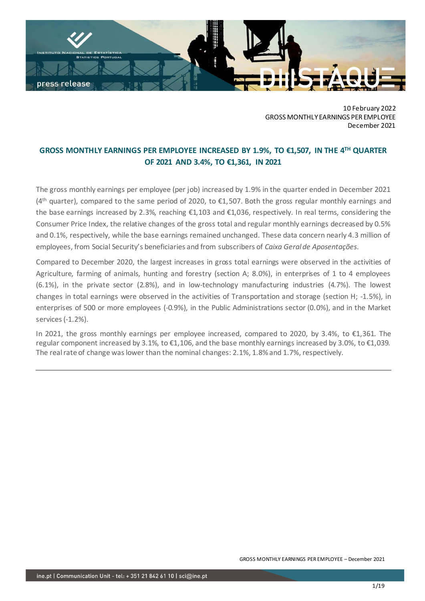

10 February 2022 GROSS MONTHLY EARNINGS PER EMPLOYEE December 2021

# **GROSS MONTHLY EARNINGS PER EMPLOYEE INCREASED BY 1.9%, TO €1,507, IN THE 4 TH QUARTER OF 2021 AND 3.4%, TO €1,361, IN 2021**

The gross monthly earnings per employee (per job) increased by 1.9% in the quarter ended in December 2021 (4<sup>th</sup> quarter), compared to the same period of 2020, to €1,507. Both the gross regular monthly earnings and the base earnings increased by 2.3%, reaching €1,103 and €1,036, respectively. In real terms, considering the Consumer Price Index, the relative changes of the gross total and regular monthly earnings decreased by 0.5% and 0.1%, respectively, while the base earnings remained unchanged. These data concern nearly 4.3 million of employees, from Social Security's beneficiaries and from subscribers of *Caixa Geral de Aposentações*.

Compared to December 2020, the largest increases in gross total earnings were observed in the activities of Agriculture, farming of animals, hunting and forestry (section A; 8.0%), in enterprises of 1 to 4 employees (6.1%), in the private sector (2.8%), and in low-technology manufacturing industries (4.7%). The lowest changes in total earnings were observed in the activities of Transportation and storage (section H; -1.5%), in enterprises of 500 or more employees (-0.9%), in the Public Administrations sector (0.0%), and in the Market services (-1.2%).

In 2021, the gross monthly earnings per employee increased, compared to 2020, by 3.4%, to €1,361. The regular component increased by 3.1%, to €1,106, and the base monthly earnings increased by 3.0%, to €1,039. The real rate of change waslower than the nominal changes: 2.1%, 1.8% and 1.7%, respectively.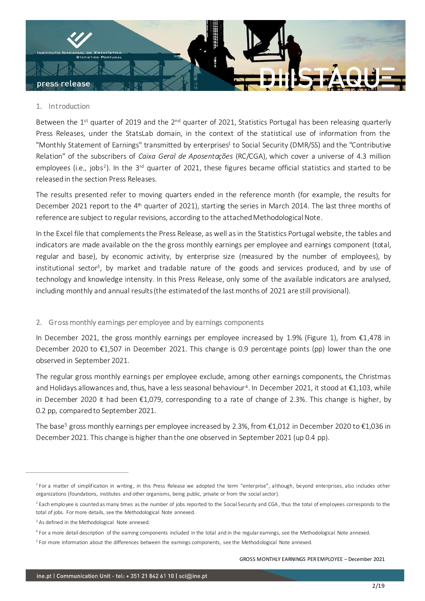

# 1. Introduction

Between the 1<sup>st</sup> quarter of 2019 and the 2<sup>nd</sup> quarter of 2021, Statistics Portugal has been releasing quarterly Press Releases, under the StatsLab domain, in the context of the statistical use of information from the "Monthly Statement of Earnings" transmitted by enterprises<sup>1</sup> to Social Security (DMR/SS) and the "Contributive Relation" of the subscribers of *Caixa Geral de Aposentações* (RC/CGA), which cover a universe of 4.3 million employees (i.e., jobs<sup>2</sup>). In the 3<sup>rd</sup> quarter of 2021, these figures became official statistics and started to be released in the section Press Releases.

The results presented refer to moving quarters ended in the reference month (for example, the results for December 2021 report to the 4<sup>th</sup> quarter of 2021), starting the series in March 2014. The last three months of reference are subject to regular revisions, according to the attached Methodological Note.

In the Excel file that complements the Press Release, as well as in the Statistics Portugal website, the tables and indicators are made available on the the gross monthly earnings per employee and earnings component (total, regular and base), by economic activity, by enterprise size (measured by the number of employees), by institutional sector<sup>3</sup>, by market and tradable nature of the goods and services produced, and by use of technology and knowledge intensity. In this Press Release, only some of the available indicators are analysed, including monthly and annual results (the estimated of the last months of 2021 are still provisional).

# 2. Gross monthly earnings per employee and by earnings components

In December 2021, the gross monthly earnings per employee increased by 1.9% (Figure 1), from €1,478 in December 2020 to €1,507 in December 2021. This change is 0.9 percentage points (pp) lower than the one observed in September 2021.

The regular gross monthly earnings per employee exclude, among other earnings components, the Christmas and Holidays allowances and, thus, have a less seasonal behaviour<sup>4</sup>. In December 2021, it stood at €1,103, while in December 2020 it had been €1,079, corresponding to a rate of change of 2.3%. This change is higher, by 0.2 pp, compared to September 2021.

The base<sup>5</sup> gross monthly earnings per employee increased by 2.3%, from  $\epsilon$ 1,012 in December 2020 to  $\epsilon$ 1,036 in December 2021. This change is higher than the one observed in September 2021 (up 0.4 pp).

<sup>&</sup>lt;sup>1</sup> For a matter of simplification in writing, in this Press Release we adopted the term "enterprise", although, beyond enterprises, also includes other organizations (foundations, institutes and other organisms, being public, private or from the social sector).

<sup>&</sup>lt;sup>2</sup> Each employee is counted as many times as the number of jobs reported to the Social Security and CGA, thus the total of employees corresponds to the total of jobs. For more details, see the Methodological Note annexed.

<sup>&</sup>lt;sup>3</sup> As defined in the Methodological Note annexed.

<sup>4</sup> For a more detail description of the earning components included in the total and in the regular earnings, see the Methodological Note annexed.

<sup>&</sup>lt;sup>5</sup> For more information about the differences between the earnings components, see the Methodological Note annexed.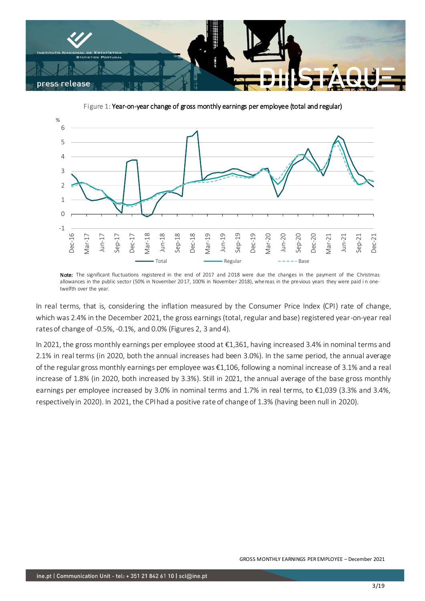

Figure 1: Year-on-year change of gross monthly earnings per employee (total and regular)



Note: The significant fluctuations registered in the end of 2017 and 2018 were due the changes in the payment of the Christmas allowances in the public sector (50% in November 2017, 100% in November 2018), whereas in the previous years they were paid in onetwelfth over the year.

In real terms, that is, considering the inflation measured by the Consumer Price Index (CPI) rate of change, which was 2.4% in the December 2021, the gross earnings (total, regular and base) registered year-on-year real rates of change of -0.5%, -0.1%, and 0.0% (Figures 2, 3 and 4).

In 2021, the gross monthly earnings per employee stood at €1,361, having increased 3.4% in nominal terms and 2.1% in real terms (in 2020, both the annual increases had been 3.0%). In the same period, the annual average of the regular gross monthly earnings per employee was €1,106, following a nominal increase of 3.1% and a real increase of 1.8% (in 2020, both increased by 3.3%). Still in 2021, the annual average of the base gross monthly earnings per employee increased by 3.0% in nominal terms and 1.7% in real terms, to €1,039 (3.3% and 3.4%, respectively in 2020). In 2021, the CPI had a positive rate of change of 1.3% (having been null in 2020).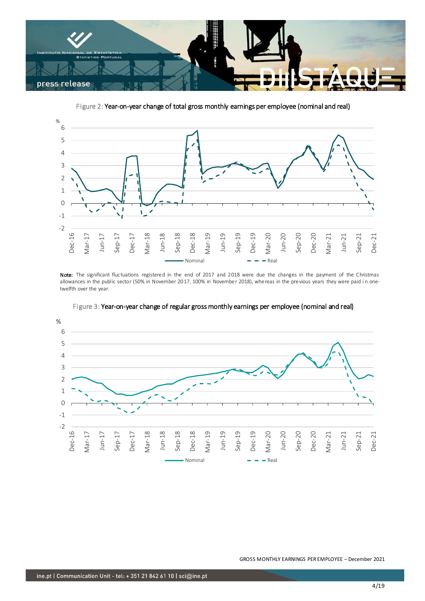

Figure 2: Year-on-year change of total gross monthly earnings per employee (nominal and real)



Note: The significant fluctuations registered in the end of 2017 and 2018 were due the changes in the payment of the Christmas allowances in the public sector (50% in November 2017, 100% in November 2018), whereas in the previous years they were paid in onetwelfth over the year.



Figure 3: Year-on-year change of regular gross monthly earnings per employee (nominal and real)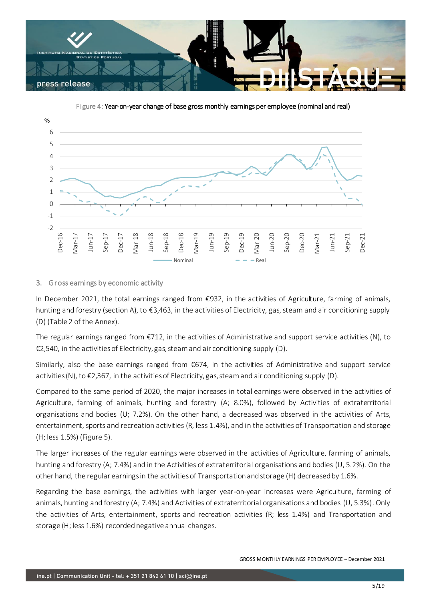

Figure 4: Year-on-year change of base gross monthly earnings per employee (nominal and real)



# 3. Gross earnings by economic activity

In December 2021, the total earnings ranged from €932, in the activities of Agriculture, farming of animals, hunting and forestry (section A), to €3,463, in the activities of Electricity, gas, steam and air conditioning supply (D) (Table 2 of the Annex).

The regular earnings ranged from €712, in the activities of Administrative and support service activities (N), to €2,540, in the activities of Electricity, gas, steam and air conditioning supply (D).

Similarly, also the base earnings ranged from €674, in the activities of Administrative and support service activities (N), to  $\epsilon$ 2,367, in the activities of Electricity, gas, steam and air conditioning supply (D).

Compared to the same period of 2020, the major increases in total earnings were observed in the activities of Agriculture, farming of animals, hunting and forestry (A; 8.0%), followed by Activities of extraterritorial organisations and bodies (U; 7.2%). On the other hand, a decreased was observed in the activities of Arts, entertainment, sports and recreation activities (R, less 1.4%), and in the activities of Transportation and storage (H; less 1.5%) (Figure 5).

The larger increases of the regular earnings were observed in the activities of Agriculture, farming of animals, hunting and forestry (A; 7.4%) and in the Activities of extraterritorial organisations and bodies (U, 5.2%). On the other hand, the regular earnings in the activities of Transportation and storage (H) decreased by 1.6%.

Regarding the base earnings, the activities with larger year-on-year increases were Agriculture, farming of animals, hunting and forestry (A; 7.4%) and Activities of extraterritorial organisations and bodies (U, 5.3%). Only the activities of Arts, entertainment, sports and recreation activities (R; less 1.4%) and Transportation and storage (H; less 1.6%) recorded negative annual changes.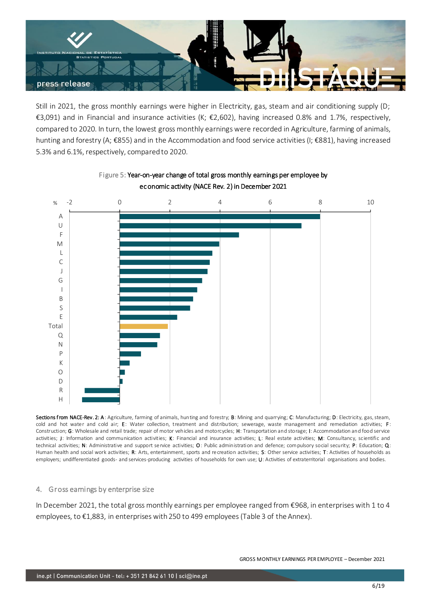

Still in 2021, the gross monthly earnings were higher in Electricity, gas, steam and air conditioning supply (D; €3,091) and in Financial and insurance activities (K; €2,602), having increased 0.8% and 1.7%, respectively, compared to 2020. In turn, the lowest gross monthly earnings were recorded in Agriculture, farming of animals, hunting and forestry (A; €855) and in the Accommodation and food service activities (I; €881), having increased 5.3% and 6.1%, respectively, compared to 2020.



# Figure 5: Year-on-year change of total gross monthly earnings per employee by economic activity (NACE Rev. 2) in December 2021

Sections from NACE-Rev. 2: A: Agriculture, farming of animals, hunting and forestry; B: Mining and quarrying; C: Manufacturing; D: Electricity, gas, steam, cold and hot water and cold air; E: Water collection, treatment and distribution; sewerage, waste management and remediation activities; F: Construction; G: Wholesale and retail trade; repair of motor vehicles and motorcycles; H: Transportation and storage; I: Accommodation and food service activities; J: Information and communication activities; K: Financial and insurance activities; L: Real estate activities; M: Consultancy, scientific and technical activities; N: Administrative and support service activities; O: Public administration and defence; compulsory social security; P: Education; Q: Human health and social work activities; R: Arts, entertainment, sports and recreation activities; S: Other service activities; T: Activities of households as employers; undifferentiated goods- and services-producing activities of households for own use; U: Activities of extraterritorial organisations and bodies.

# 4. Gross earnings by enterprise size

In December 2021, the total gross monthly earnings per employee ranged from €968, in enterprises with 1 to 4 employees, to €1,883, in enterprises with 250 to 499 employees (Table 3 of the Annex).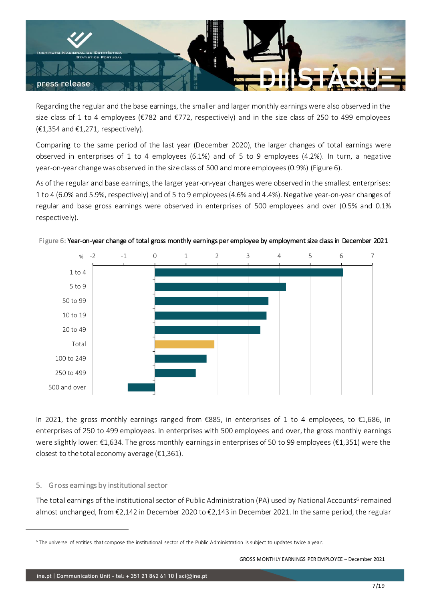

Regarding the regular and the base earnings, the smaller and larger monthly earnings were also observed in the size class of 1 to 4 employees (€782 and €772, respectively) and in the size class of 250 to 499 employees  $(E1, 354 \text{ and } E1, 271, \text{ respectively}).$ 

Comparing to the same period of the last year (December 2020), the larger changes of total earnings were observed in enterprises of 1 to 4 employees (6.1%) and of 5 to 9 employees (4.2%). In turn, a negative year-on-year change was observed in the size class of 500 and more employees (0.9%) (Figure 6).

As of the regular and base earnings, the larger year-on-year changes were observed in the smallest enterprises: 1 to 4 (6.0% and 5.9%, respectively) and of 5 to 9 employees (4.6% and 4.4%). Negative year-on-year changes of regular and base gross earnings were observed in enterprises of 500 employees and over (0.5% and 0.1% respectively).



Figure 6: Year-on-year change of total gross monthly earnings per employee by employment size class in December 2021

In 2021, the gross monthly earnings ranged from €885, in enterprises of 1 to 4 employees, to €1,686, in enterprises of 250 to 499 employees. In enterprises with 500 employees and over, the gross monthly earnings were slightly lower: €1,634. The gross monthly earnings in enterprises of 50 to 99 employees (€1,351) were the closest to the total economy average ( $£1,361$ ).

# 5. Gross earnings by institutional sector

The total earnings of the institutional sector of Public Administration (PA) used by National Accounts<sup>6</sup> remained almost unchanged, from €2,142 in December 2020 to €2,143 in December 2021. In the same period, the regular

<sup>&</sup>lt;sup>6</sup> The universe of entities that compose the institutional sector of the Public Administration is subject to updates twice a year.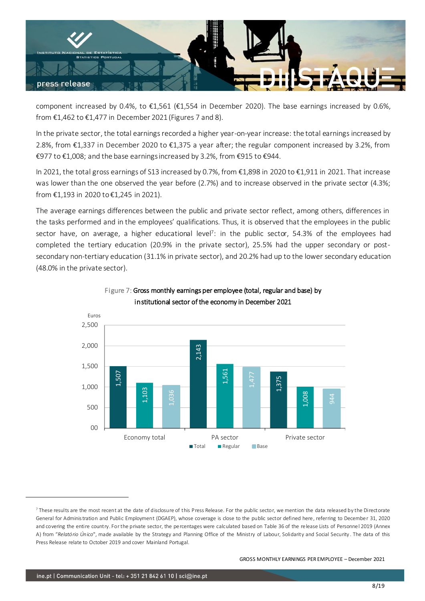

component increased by 0.4%, to  $\epsilon$ 1,561 ( $\epsilon$ 1,554 in December 2020). The base earnings increased by 0.6%, from €1,462 to €1,477 in December 2021 (Figures 7 and 8).

In the private sector, the total earnings recorded a higher year-on-year increase: the total earnings increased by 2.8%, from €1,337 in December 2020 to €1,375 a year after; the regular component increased by 3.2%, from €977 to €1,008; and the base earnings increased by 3.2%, from €915 to €944.

In 2021, the total gross earnings of S13 increased by 0.7%, from €1,898 in 2020 to €1,911 in 2021. That increase was lower than the one observed the year before (2.7%) and to increase observed in the private sector (4.3%; from €1,193 in 2020 to €1,245 in 2021).

The average earnings differences between the public and private sector reflect, among others, differences in the tasks performed and in the employees' qualifications. Thus, it is observed that the employees in the public sector have, on average, a higher educational level<sup>7</sup> : in the public sector, 54.3% of the employees had completed the tertiary education (20.9% in the private sector), 25.5% had the upper secondary or postsecondary non-tertiary education (31.1% in private sector), and 20.2% had up to the lower secondary education (48.0% in the private sector).





 $^7$  These results are the most recent at the date of disclosure of this Press Release. For the public sector, we mention the data released by the Directorate General for Administration and Public Employment (DGAEP), whose coverage is close to the public sector defined here, referring to December 31, 2020 and covering the entire country. For the private sector, the percentages were calculated based on Table 36 of the release Lists of Personnel 2019 (Annex A) from "*Relatório Único*", made available by the Strategy and Planning Office of the Ministry of Labour, Solidarity and Social Security . The data of this Press Release relate to October 2019 and cover Mainland Portugal.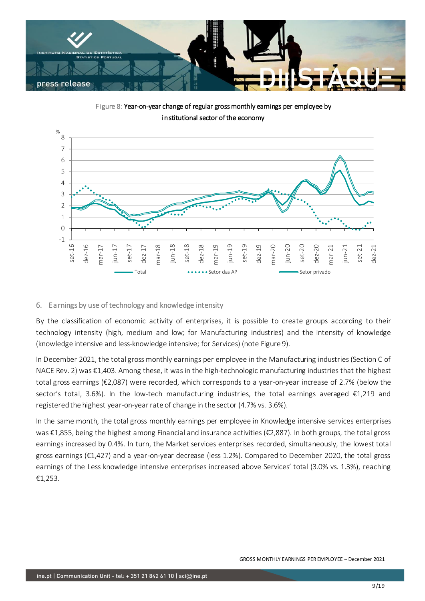

Figure 8: Year-on-year change of regular gross monthly earnings per employee by institutional sector of the economy



# 6. Earnings by use of technology and knowledge intensity

By the classification of economic activity of enterprises, it is possible to create groups according to their technology intensity (high, medium and low; for Manufacturing industries) and the intensity of knowledge (knowledge intensive and less-knowledge intensive; for Services) (note Figure 9).

In December 2021, the total gross monthly earnings per employee in the Manufacturing industries(Section C of NACE Rev. 2) was €1,403. Among these, it was in the high-technologic manufacturing industries that the highest total gross earnings (€2,087) were recorded, which corresponds to a year-on-year increase of 2.7% (below the sector's total, 3.6%). In the low-tech manufacturing industries, the total earnings averaged €1,219 and registered the highest year-on-year rate of change in the sector (4.7% vs. 3.6%).

In the same month, the total gross monthly earnings per employee in Knowledge intensive services enterprises was €1,855, being the highest among Financial and insurance activities (€2,887). In both groups, the total gross earnings increased by 0.4%. In turn, the Market services enterprises recorded, simultaneously, the lowest total gross earnings (€1,427) and a year-on-year decrease (less 1.2%). Compared to December 2020, the total gross earnings of the Less knowledge intensive enterprises increased above Services' total (3.0% vs. 1.3%), reaching €1,253.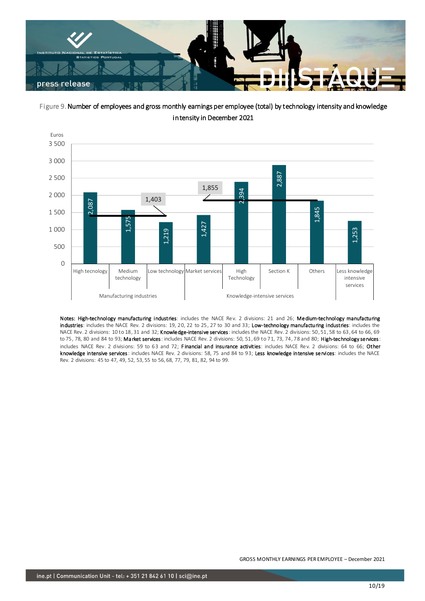

Figure 9. Number of employees and gross monthly earnings per employee (total) by technology intensity and knowledge intensity in December 2021



Notes: High-technology manufacturing industries: includes the NACE Rev. 2 divisions: 21 and 26; Medium-technology manufacturing industries: includes the NACE Rev. 2 divisions: 19, 20, 22 to 25, 27 to 30 and 33; Low-technology manufacturing industries: includes the NACE Rev. 2 divisions: 10 to 18, 31 and 32; Knowledge-intensive services: includes the NACE Rev. 2 divisions: 50, 51, 58 to 63, 64 to 66, 69 to 75, 78, 80 and 84 to 93; Market services: includes NACE Rev. 2 divisions: 50, 51, 69 to 71, 73, 74, 78 and 80; High-technology services: includes NACE Rev. 2 divisions: 59 to 63 and 72; Financial and insurance activities: includes NACE Rev. 2 divisions: 64 to 66; Other knowledge intensive services: includes NACE Rev. 2 divisions: 58, 75 and 84 to 93; Less knowledge intensive services: includes the NACE Rev. 2 divisions: 45 to 47, 49, 52, 53, 55 to 56, 68, 77, 79, 81, 82, 94 to 99.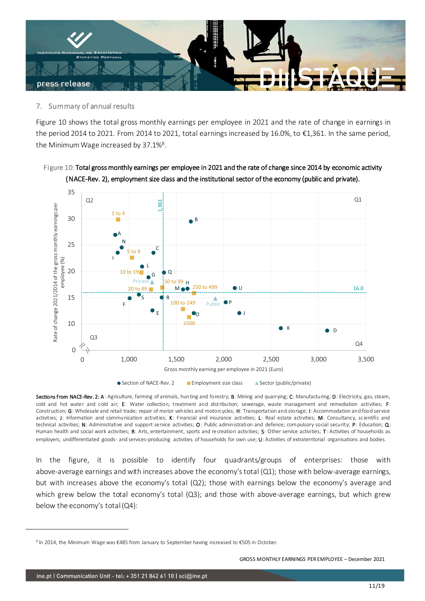

# 7. Summary of annual results

Figure 10 shows the total gross monthly earnings per employee in 2021 and the rate of change in earnings in the period 2014 to 2021. From 2014 to 2021, total earnings increased by 16.0%, to €1,361. In the same period, the Minimum Wage increased by 37.1%<sup>8</sup>.

# Figure 10: Total gross monthly earnings per employee in 2021 and the rate of change since 2014 by economic activity (NACE-Rev. 2), employment size class and the institutional sector of the economy (public and private).



Sections from NACE-Rev. 2: A: Agriculture, farming of animals, hunting and forestry; B: Mining and quarrying; C: Manufacturing; D: Electricity, gas, steam, cold and hot water and cold air; E: Water collection, treatment and distribution; sewerage, waste management and remediation activities; F: Construction; G: Wholesale and retail trade; repair of motor vehicles and motorcycles; H: Transportation and storage; I: Accommodation and food service activities; J: Information and communication activities; K: Financial and insurance activities; L: Real estate activities; M: Consultancy, scientific and technical activities; N: Administrative and support service activities; O: Public administration and defence; compulsory social security; P: Education; Q: Human health and social work activities; R: Arts, entertainment, sports and recreation activities; S: Other service activities; T: Activities of households as employers; undifferentiated goods- and services-producing activities of households for own use; U: Activities of extraterritorial organisations and bodies.

In the figure, it is possible to identify four quadrants/groups of enterprises: those with above-average earnings and with increases above the economy's total (Q1); those with below-average earnings, but with increases above the economy's total (Q2); those with earnings below the economy's average and which grew below the total economy's total (Q3); and those with above-average earnings, but which grew below the economy's total (Q4):

<sup>&</sup>lt;sup>8</sup> In 2014, the Minimum Wage was €485 from January to September having increased to €505 in October.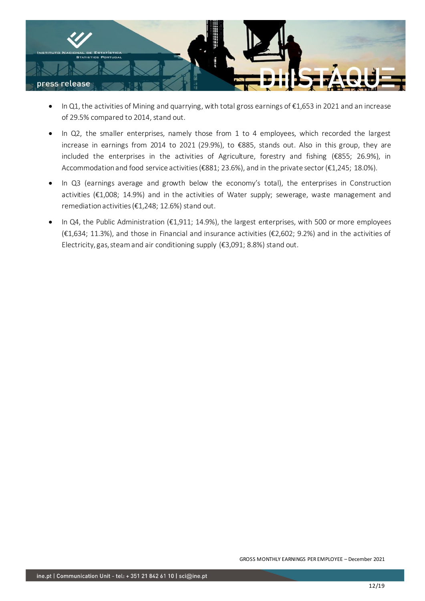

- In Q1, the activities of Mining and quarrying, with total gross earnings of €1,653 in 2021 and an increase of 29.5% compared to 2014, stand out.
- In Q2, the smaller enterprises, namely those from 1 to 4 employees, which recorded the largest increase in earnings from 2014 to 2021 (29.9%), to €885, stands out. Also in this group, they are included the enterprises in the activities of Agriculture, forestry and fishing (€855; 26.9%), in Accommodation and food service activities (€881; 23.6%), and in the private sector (€1,245; 18.0%).
- In Q3 (earnings average and growth below the economy's total), the enterprises in Construction activities (€1,008; 14.9%) and in the activities of Water supply; sewerage, waste management and remediation activities ( $\epsilon$ 1,248; 12.6%) stand out.
- In Q4, the Public Administration (€1,911; 14.9%), the largest enterprises, with 500 or more employees (€1,634; 11.3%), and those in Financial and insurance activities (€2,602; 9.2%) and in the activities of Electricity, gas, steam and air conditioning supply (€3,091; 8.8%) stand out.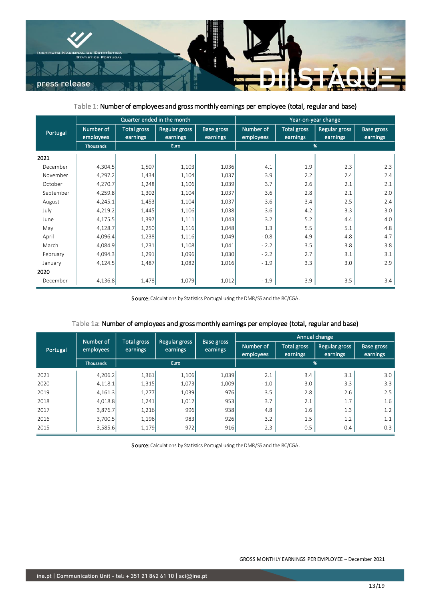

Table 1: Number of employees and gross monthly earnings per employee (total, regular and base)

|           | Quarter ended in the month |                                |                           |                        | Year-on-year change    |                                |                           |                               |
|-----------|----------------------------|--------------------------------|---------------------------|------------------------|------------------------|--------------------------------|---------------------------|-------------------------------|
| Portugal  | Number of<br>employees     | <b>Total gross</b><br>earnings | Regular gross<br>earnings | Base gross<br>earnings | Number of<br>employees | <b>Total gross</b><br>earnings | Regular gross<br>earnings | <b>Base gross</b><br>earnings |
|           | <b>Thousands</b>           | <b>Euro</b>                    |                           |                        | %                      |                                |                           |                               |
| 2021      |                            |                                |                           |                        |                        |                                |                           |                               |
| December  | 4,304.5                    | 1,507                          | 1,103                     | 1,036                  | 4.1                    | 1.9                            | 2.3                       | 2.3                           |
| November  | 4,297.2                    | 1,434                          | 1,104                     | 1,037                  | 3.9                    | 2.2                            | 2.4                       | 2.4                           |
| October   | 4,270.7                    | 1,248                          | 1,106                     | 1,039                  | 3.7                    | 2.6                            | 2.1                       | 2.1                           |
| September | 4,259.8                    | 1,302                          | 1,104                     | 1,037                  | 3.6                    | 2.8                            | 2.1                       | 2.0                           |
| August    | 4,245.1                    | 1,453                          | 1,104                     | 1,037                  | 3.6                    | 3.4                            | 2.5                       | 2.4                           |
| July      | 4,219.2                    | 1,445                          | 1,106                     | 1,038                  | 3.6                    | 4.2                            | 3.3                       | 3.0                           |
| June      | 4,175.5                    | 1,397                          | 1,111                     | 1,043                  | 3.2                    | 5.2                            | 4.4                       | 4.0                           |
| May       | 4,128.7                    | 1,250                          | 1,116                     | 1,048                  | 1.3                    | 5.5                            | 5.1                       | 4.8                           |
| April     | 4,096.4                    | 1,238                          | 1,116                     | 1,049                  | $-0.8$                 | 4.9                            | 4.8                       | 4.7                           |
| March     | 4,084.9                    | 1,231                          | 1,108                     | 1,041                  | $-2.2$                 | 3.5                            | 3.8                       | 3.8                           |
| February  | 4,094.3                    | 1,291                          | 1,096                     | 1,030                  | $-2.2$                 | 2.7                            | 3.1                       | 3.1                           |
| January   | 4,124.5                    | 1,487                          | 1,082                     | 1,016                  | $-1.9$                 | 3.3                            | 3.0                       | 2.9                           |
| 2020      |                            |                                |                           |                        |                        |                                |                           |                               |
| December  | 4,136.8                    | 1,478                          | 1,079                     | 1,012                  | $-1.9$                 | 3.9                            | 3.5                       | 3.4                           |

Source: Calculations by Statistics Portugal using the DMR/SS and the RC/CGA.

|          | Number of |                         |                           |                               | Annual change          |                                |                                  |                               |
|----------|-----------|-------------------------|---------------------------|-------------------------------|------------------------|--------------------------------|----------------------------------|-------------------------------|
| Portugal | employees | Total gross<br>earnings | Regular gross<br>earnings | <b>Base gross</b><br>earnings | Number of<br>employees | <b>Total gross</b><br>earnings | <b>Regular gross</b><br>earnings | <b>Base gross</b><br>earnings |
|          | Thousands | Euro                    |                           |                               | %                      |                                |                                  |                               |
| 2021     | 4,206.2   | 1,361                   | 1,106                     | 1,039                         | 2.1                    | 3.4                            | 3.1                              | 3.0                           |
| 2020     | 4,118.1   | 1,315                   | 1,073                     | 1,009                         | $-1.0$                 | 3.0                            | 3.3                              | 3.3                           |
| 2019     | 4,161.3   | 1,277                   | 1,039                     | 976                           | 3.5                    | 2.8                            | 2.6                              | 2.5                           |
| 2018     | 4,018.8   | 1,241                   | 1,012                     | 953                           | 3.7                    | 2.1                            | 1.7                              | 1.6                           |
| 2017     | 3,876.7   | 1,216                   | 996                       | 938                           | 4.8                    | 1.6                            | 1.3                              | 1.2                           |
| 2016     | 3,700.5   | 1,196                   | 983                       | 926                           | 3.2                    | 1.5                            | 1.2                              | 1.1                           |
| 2015     | 3,585.6   | 1,179                   | 972                       | 916                           | 2.3                    | 0.5                            | 0.4                              | 0.3                           |

## Table 1a: Number of employees and gross monthly earnings per employee (total, regular and base)

Source: Calculations by Statistics Portugal using the DMR/SS and the RC/CGA.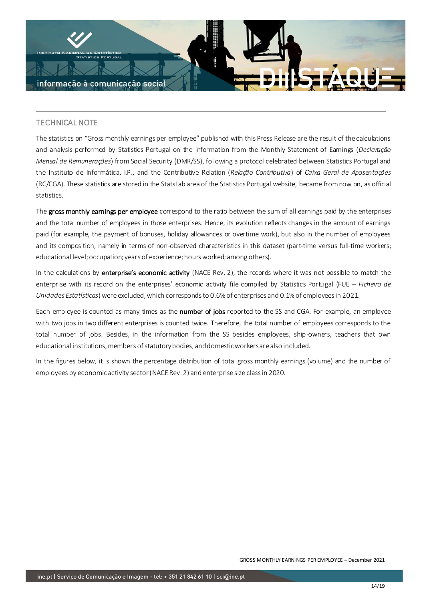

# TECHNICAL NOTE

The statistics on "Gross monthly earnings per employee" published with this Press Release are the result of the calculations and analysis performed by Statistics Portugal on the information from the Monthly Statement of Earnings (*Declaração Mensal de Remunerações*) from Social Security (DMR/SS), following a protocol celebrated between Statistics Portugal and the Instituto de Informática, I.P., and the Contributive Relation (*Relação Contributiva*) of *Caixa Geral de Aposentações* (RC/CGA). These statistics are stored in the StatsLab area of the Statistics Portugal website, became from now on, as official statistics.

The gross monthly earnings per employee correspond to the ratio between the sum of all earnings paid by the enterprises and the total number of employees in those enterprises. Hence, its evolution reflects changes in the amount of earnings paid (for example, the payment of bonuses, holiday allowances or overtime work), but also in the number of employees and its composition, namely in terms of non-observed characteristics in this dataset (part-time versus full-time workers; educational level; occupation; years of experience; hours worked; among others).

In the calculations by enterprise's economic activity (NACE Rev. 2), the records where it was not possible to match the enterprise with its record on the enterprises' economic activity file compiled by Statistics Portugal (FUE – *Ficheiro de Unidades Estatísticas*) were excluded, which corresponds to 0.6% of enterprises and 0.1% of employees in 2021.

Each employee is counted as many times as the number of jobs reported to the SS and CGA. For example, an employee with two jobs in two different enterprises is counted twice. Therefore, the total number of employees corresponds to the total number of jobs. Besides, in the information from the SS besides employees, ship-owners, teachers that own educational institutions, members of statutory bodies, and domestic workers are also included.

In the figures below, it is shown the percentage distribution of total gross monthly earnings (volume) and the number of employees by economic activity sector (NACE Rev. 2) and enterprise size class in 2020.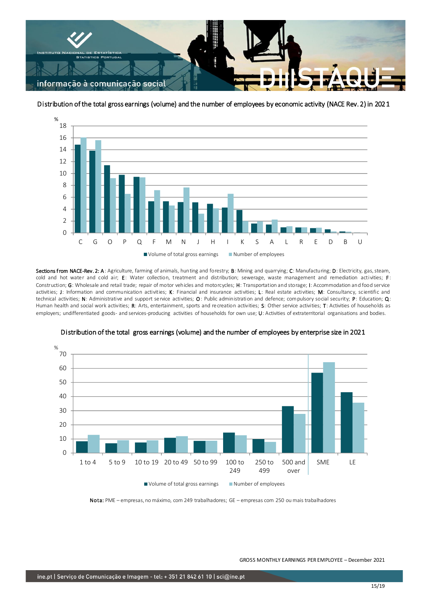

Distribution of the total gross earnings (volume) and the number of employees by economic activity (NACE Rev. 2) in 2021



Sections from NACE-Rev. 2: A: Agriculture, farming of animals, hunting and forestry; B: Mining and quarrying; C: Manufacturing; D: Electricity, gas, steam, cold and hot water and cold air; E: Water collection, treatment and distribution; sewerage, waste management and remediation activities; F: Construction; G: Wholesale and retail trade; repair of motor vehicles and motorcycles; H: Transportation and storage; I: Accommodation and food service activities; J: Information and communication activities; K: Financial and insurance activities; L: Real estate activities; M: Consultancy, scientific and technical activities; N: Administrative and support service activities; O: Public administration and defence; compulsory social security; P: Education; Q: Human health and social work activities; R: Arts, entertainment, sports and recreation activities; S: Other service activities; T: Activities of households as employers; undifferentiated goods- and services-producing activities of households for own use; U: Activities of extraterritorial organisations and bodies.



## Distribution of the total gross earnings (volume) and the number of employees by enterprise size in 2021

Nota: PME – empresas, no máximo, com 249 trabalhadores; GE – empresas com 250 ou mais trabalhadores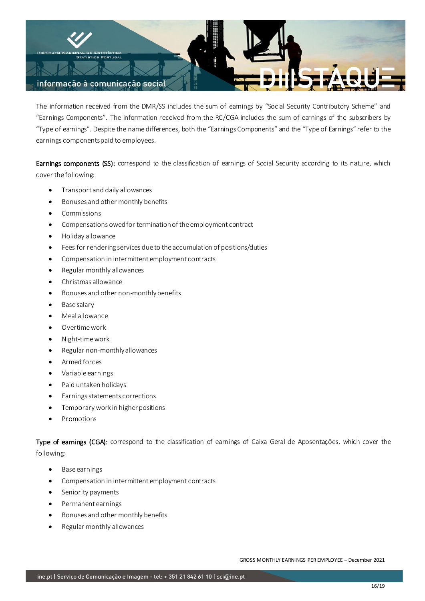

The information received from the DMR/SS includes the sum of earnings by "Social Security Contributory Scheme" and "Earnings Components". The information received from the RC/CGA includes the sum of earnings of the subscribers by "Type of earnings". Despite the name differences, both the "Earnings Components" and the "Type of Earnings" refer to the earnings components paid to employees.

Earnings components (SS): correspond to the classification of earnings of Social Security according to its nature, which cover the following:

- Transport and daily allowances
- Bonuses and other monthly benefits
- Commissions
- Compensations owed for termination of the employment contract
- Holiday allowance
- Fees for rendering services due to the accumulation of positions/duties
- Compensation in intermittent employment contracts
- Regular monthly allowances
- Christmas allowance
- Bonuses and other non-monthly benefits
- Base salary
- Meal allowance
- Overtime work
- Night-time work
- Regular non-monthly allowances
- Armed forces
- Variable earnings
- Paid untaken holidays
- Earnings statements corrections
- Temporary work in higher positions
- Promotions

Type of earnings (CGA): correspond to the classification of earnings of Caixa Geral de Aposentações, which cover the following:

- Base earnings
- Compensation in intermittent employment contracts
- Seniority payments
- Permanent earnings
- Bonuses and other monthly benefits
- Regular monthly allowances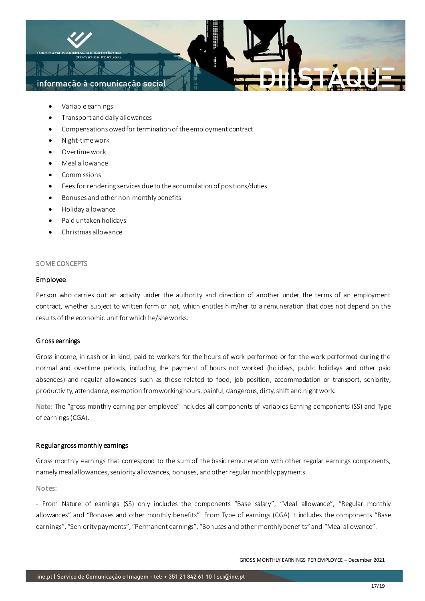

- Variable earnings
- Transport and daily allowances
- Compensations owed for termination of the employment contract
- Night-time work
- Overtime work
- Meal allowance
- Commissions
- Fees for rendering services due to the accumulation of positions/duties
- Bonuses and other non-monthly benefits
- Holiday allowance
- Paid untaken holidays
- Christmas allowance

#### SOME CONCEPTS

### Employee

Person who carries out an activity under the authority and direction of another under the terms of an employment contract, whether subject to written form or not, which entitles him/her to a remuneration that does not depend on the results of the economic unit for which he/she works.

### Gr oss earnings

Gross income, in cash or in kind, paid to workers for the hours of work performed or for the work performed during the normal and overtime periods, including the payment of hours not worked (holidays, public holidays and other paid absences) and regular allowances such as those related to food, job position, accommodation or transport, seniority, productivity, attendance, exemption from working hours, painful, dangerous, dirty, shift and night work.

Note: The "gross monthly earning per employee" includes all components of variables Earning components (SS) and Type of earnings(CGA).

## Regular gross monthly earnings

Gross monthly earnings that correspond to the sum of the basic remuneration with other regular earnings components, namely meal allowances, seniority allowances, bonuses, and other regular monthly payments.

### Notes:

- From Nature of earnings (SS) only includes the components "Base salary", "Meal allowance", "Regular monthly allowances" and "Bonuses and other monthly benefits". From Type of earnings (CGA) it includes the components "Base earnings", "Seniority payments"; "Permanent earnings", "Bonuses and other monthly benefits" and "Meal allowance".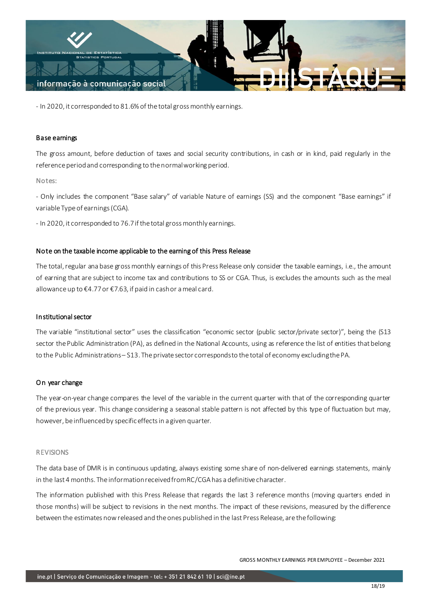

- In 2020, it corresponded to 81.6% of the total gross monthly earnings.

### Base earnings

The gross amount, before deduction of taxes and social security contributions, in cash or in kind, paid regularly in the reference period and corresponding to the normal working period.

#### Notes:

- Only includes the component "Base salary" of variable Nature of earnings (SS) and the component "Base earnings" if variable Type of earnings (CGA).

- In 2020, it corresponded to 76.7 if the total gross monthly earnings.

#### Note on the taxable income applicable to the earning of this Press Release

The total, regular ana base gross monthly earnings of this Press Release only consider the taxable earnings, i.e., the amount of earning that are subject to income tax and contributions to SS or CGA. Thus, is excludes the amounts such as the meal allowance up to €4.77 or €7.63, if paid in cash or a meal card.

### Institutional sector

The variable "institutional sector" uses the classification "economic sector (public sector/private sector)", being the (S13 sector the Public Administration (PA), as defined in the National Accounts, using as reference the list of entities that belong to the Public Administrations – S13. The private sector corresponds to the total of economy excluding the PA.

### O n year change

The year-on-year change compares the level of the variable in the current quarter with that of the corresponding quarter of the previous year. This change considering a seasonal stable pattern is not affected by this type of fluctuation but may, however, be influenced by specific effects in a given quarter.

#### REVISIONS

The data base of DMR is in continuous updating, always existing some share of non-delivered earnings statements, mainly in the last 4 months. The information received from RC/CGAhas a definitive character.

The information published with this Press Release that regards the last 3 reference months (moving quarters ended in those months) will be subject to revisions in the next months. The impact of these revisions, measured by the difference between the estimates now released and the ones published in the last Press Release, are the following: